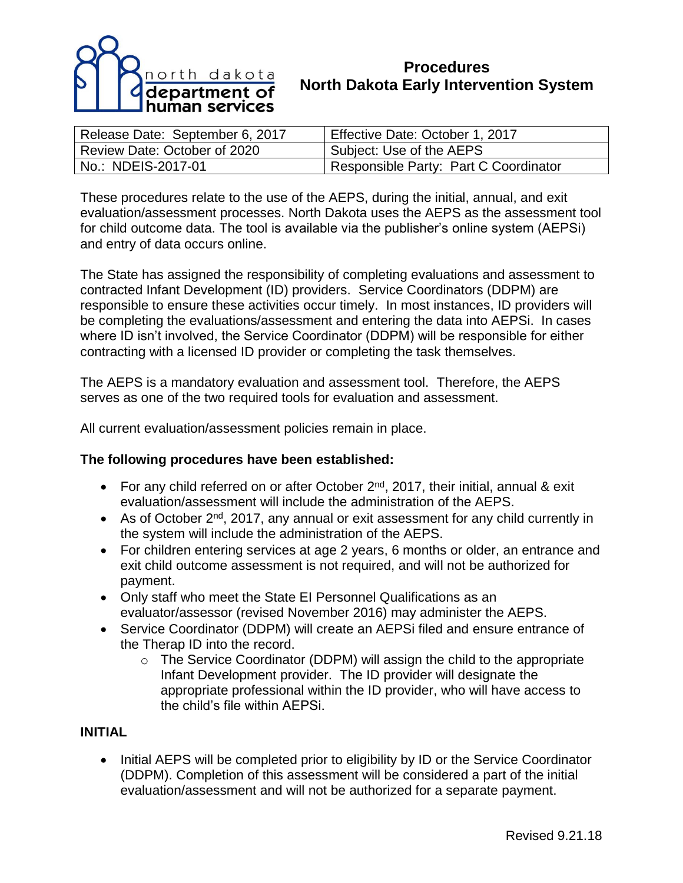

# **Procedures North Dakota Early Intervention System**

| Release Date: September 6, 2017 | Effective Date: October 1, 2017       |
|---------------------------------|---------------------------------------|
| Review Date: October of 2020    | Subject: Use of the AEPS              |
| No.: NDEIS-2017-01              | Responsible Party: Part C Coordinator |

These procedures relate to the use of the AEPS, during the initial, annual, and exit evaluation/assessment processes. North Dakota uses the AEPS as the assessment tool for child outcome data. The tool is available via the publisher's online system (AEPSi) and entry of data occurs online.

The State has assigned the responsibility of completing evaluations and assessment to contracted Infant Development (ID) providers. Service Coordinators (DDPM) are responsible to ensure these activities occur timely. In most instances, ID providers will be completing the evaluations/assessment and entering the data into AEPSi. In cases where ID isn't involved, the Service Coordinator (DDPM) will be responsible for either contracting with a licensed ID provider or completing the task themselves.

The AEPS is a mandatory evaluation and assessment tool. Therefore, the AEPS serves as one of the two required tools for evaluation and assessment.

All current evaluation/assessment policies remain in place.

### **The following procedures have been established:**

- For any child referred on or after October  $2^{nd}$ , 2017, their initial, annual & exit evaluation/assessment will include the administration of the AEPS.
- As of October 2<sup>nd</sup>, 2017, any annual or exit assessment for any child currently in the system will include the administration of the AEPS.
- For children entering services at age 2 years, 6 months or older, an entrance and exit child outcome assessment is not required, and will not be authorized for payment.
- Only staff who meet the State EI Personnel Qualifications as an evaluator/assessor (revised November 2016) may administer the AEPS.
- Service Coordinator (DDPM) will create an AEPSi filed and ensure entrance of the Therap ID into the record.
	- o The Service Coordinator (DDPM) will assign the child to the appropriate Infant Development provider. The ID provider will designate the appropriate professional within the ID provider, who will have access to the child's file within AEPSi.

### **INITIAL**

• Initial AEPS will be completed prior to eligibility by ID or the Service Coordinator (DDPM). Completion of this assessment will be considered a part of the initial evaluation/assessment and will not be authorized for a separate payment.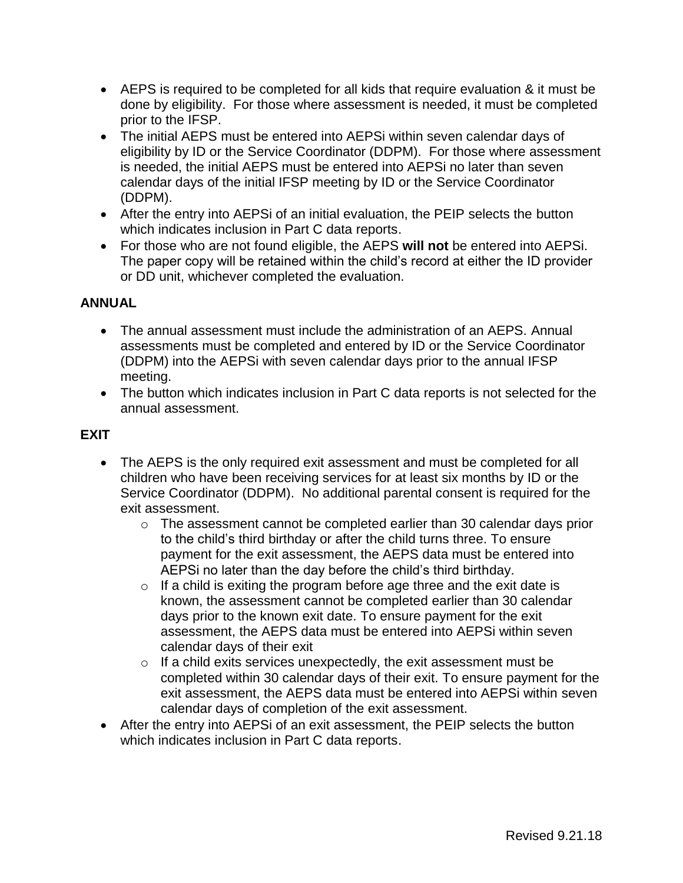- AEPS is required to be completed for all kids that require evaluation & it must be done by eligibility. For those where assessment is needed, it must be completed prior to the IFSP.
- The initial AEPS must be entered into AEPSi within seven calendar days of eligibility by ID or the Service Coordinator (DDPM). For those where assessment is needed, the initial AEPS must be entered into AEPSi no later than seven calendar days of the initial IFSP meeting by ID or the Service Coordinator (DDPM).
- After the entry into AEPSi of an initial evaluation, the PEIP selects the button which indicates inclusion in Part C data reports.
- For those who are not found eligible, the AEPS **will not** be entered into AEPSi. The paper copy will be retained within the child's record at either the ID provider or DD unit, whichever completed the evaluation.

# **ANNUAL**

- The annual assessment must include the administration of an AEPS. Annual assessments must be completed and entered by ID or the Service Coordinator (DDPM) into the AEPSi with seven calendar days prior to the annual IFSP meeting.
- The button which indicates inclusion in Part C data reports is not selected for the annual assessment.

## **EXIT**

- The AEPS is the only required exit assessment and must be completed for all children who have been receiving services for at least six months by ID or the Service Coordinator (DDPM). No additional parental consent is required for the exit assessment.
	- o The assessment cannot be completed earlier than 30 calendar days prior to the child's third birthday or after the child turns three. To ensure payment for the exit assessment, the AEPS data must be entered into AEPSi no later than the day before the child's third birthday.
	- $\circ$  If a child is exiting the program before age three and the exit date is known, the assessment cannot be completed earlier than 30 calendar days prior to the known exit date. To ensure payment for the exit assessment, the AEPS data must be entered into AEPSi within seven calendar days of their exit
	- $\circ$  If a child exits services unexpectedly, the exit assessment must be completed within 30 calendar days of their exit. To ensure payment for the exit assessment, the AEPS data must be entered into AEPSi within seven calendar days of completion of the exit assessment.
- After the entry into AEPSi of an exit assessment, the PEIP selects the button which indicates inclusion in Part C data reports.